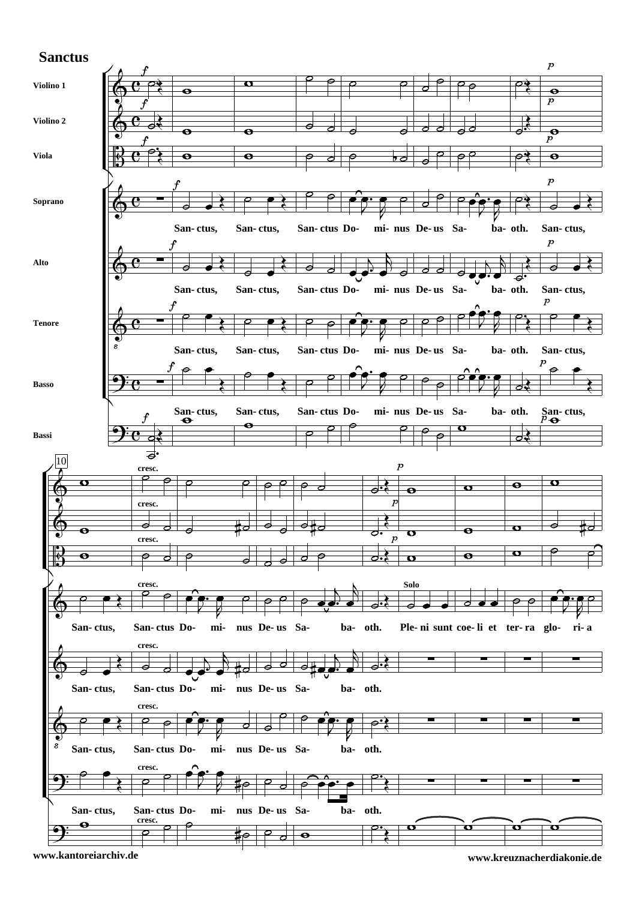## **Sanctus**